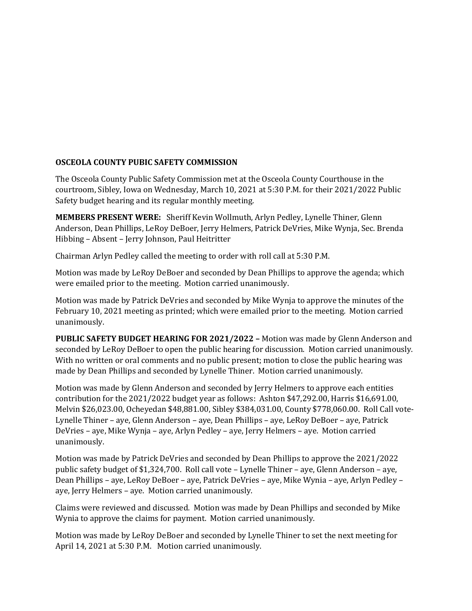## **OSCEOLA COUNTY PUBIC SAFETY COMMISSION**

The Osceola County Public Safety Commission met at the Osceola County Courthouse in the courtroom, Sibley, Iowa on Wednesday, March 10, 2021 at 5:30 P.M. for their 2021/2022 Public Safety budget hearing and its regular monthly meeting.

**MEMBERS PRESENT WERE:** Sheriff Kevin Wollmuth, Arlyn Pedley, Lynelle Thiner, Glenn Anderson, Dean Phillips, LeRoy DeBoer, Jerry Helmers, Patrick DeVries, Mike Wynja, Sec. Brenda Hibbing – Absent – Jerry Johnson, Paul Heitritter

Chairman Arlyn Pedley called the meeting to order with roll call at 5:30 P.M.

Motion was made by LeRoy DeBoer and seconded by Dean Phillips to approve the agenda; which were emailed prior to the meeting. Motion carried unanimously.

Motion was made by Patrick DeVries and seconded by Mike Wynja to approve the minutes of the February 10, 2021 meeting as printed; which were emailed prior to the meeting. Motion carried unanimously.

**PUBLIC SAFETY BUDGET HEARING FOR 2021/2022 –** Motion was made by Glenn Anderson and seconded by LeRoy DeBoer to open the public hearing for discussion. Motion carried unanimously. With no written or oral comments and no public present; motion to close the public hearing was made by Dean Phillips and seconded by Lynelle Thiner. Motion carried unanimously.

Motion was made by Glenn Anderson and seconded by Jerry Helmers to approve each entities contribution for the 2021/2022 budget year as follows: Ashton \$47,292.00, Harris \$16,691.00, Melvin \$26,023.00, Ocheyedan \$48,881.00, Sibley \$384,031.00, County \$778,060.00. Roll Call vote-Lynelle Thiner – aye, Glenn Anderson – aye, Dean Phillips – aye, LeRoy DeBoer – aye, Patrick DeVries – aye, Mike Wynja – aye, Arlyn Pedley – aye, Jerry Helmers – aye. Motion carried unanimously.

Motion was made by Patrick DeVries and seconded by Dean Phillips to approve the 2021/2022 public safety budget of \$1,324,700. Roll call vote – Lynelle Thiner – aye, Glenn Anderson – aye, Dean Phillips – aye, LeRoy DeBoer – aye, Patrick DeVries – aye, Mike Wynia – aye, Arlyn Pedley – aye, Jerry Helmers – aye. Motion carried unanimously.

Claims were reviewed and discussed. Motion was made by Dean Phillips and seconded by Mike Wynia to approve the claims for payment. Motion carried unanimously.

Motion was made by LeRoy DeBoer and seconded by Lynelle Thiner to set the next meeting for April 14, 2021 at 5:30 P.M. Motion carried unanimously.